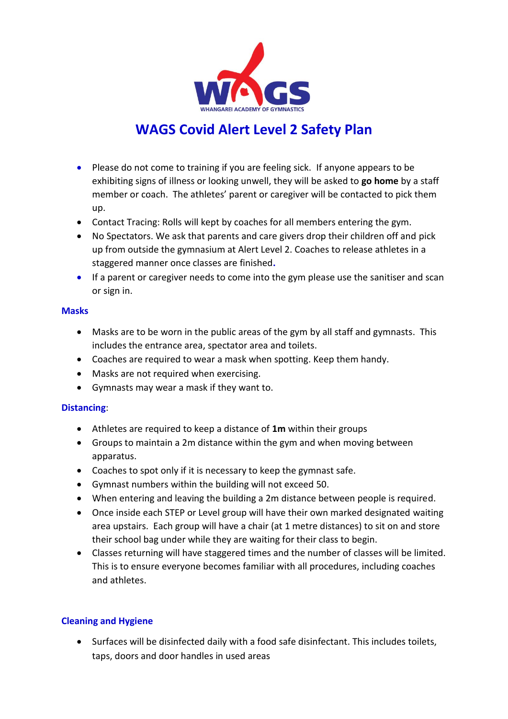

# **WAGS Covid Alert Level 2 Safety Plan**

- Please do not come to training if you are feeling sick. If anyone appears to be exhibiting signs of illness or looking unwell, they will be asked to **go home** by a staff member or coach. The athletes' parent or caregiver will be contacted to pick them up.
- Contact Tracing: Rolls will kept by coaches for all members entering the gym.
- No Spectators. We ask that parents and care givers drop their children off and pick up from outside the gymnasium at Alert Level 2. Coaches to release athletes in a staggered manner once classes are finished**.**
- If a parent or caregiver needs to come into the gym please use the sanitiser and scan or sign in.

#### **Masks**

- Masks are to be worn in the public areas of the gym by all staff and gymnasts. This includes the entrance area, spectator area and toilets.
- Coaches are required to wear a mask when spotting. Keep them handy.
- Masks are not required when exercising.
- Gymnasts may wear a mask if they want to.

### **Distancing**:

- Athletes are required to keep a distance of **1m** within their groups
- Groups to maintain a 2m distance within the gym and when moving between apparatus.
- Coaches to spot only if it is necessary to keep the gymnast safe.
- Gymnast numbers within the building will not exceed 50.
- When entering and leaving the building a 2m distance between people is required.
- Once inside each STEP or Level group will have their own marked designated waiting area upstairs. Each group will have a chair (at 1 metre distances) to sit on and store their school bag under while they are waiting for their class to begin.
- Classes returning will have staggered times and the number of classes will be limited. This is to ensure everyone becomes familiar with all procedures, including coaches and athletes.

### **Cleaning and Hygiene**

 Surfaces will be disinfected daily with a food safe disinfectant. This includes toilets, taps, doors and door handles in used areas